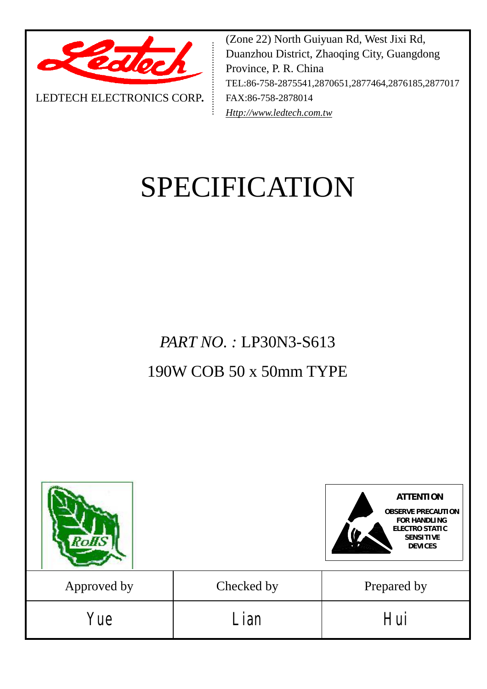

LEDTECH ELECTRONICS CORP**.**

(Zone 22) North Guiyuan Rd, West Jixi Rd, Duanzhou District, Zhaoqing City, Guangdong Province, P. R. China TEL:86-758-2875541,2870651,2877464,2876185,2877017 FAX:86-758-2878014 *[Http://www.ledtech.com.tw](http://www.ledtech.com.tw)*

# SPECIFICATION

*PART NO. :* LP30N3-S613 190W COB 50 x 50mm TYPE

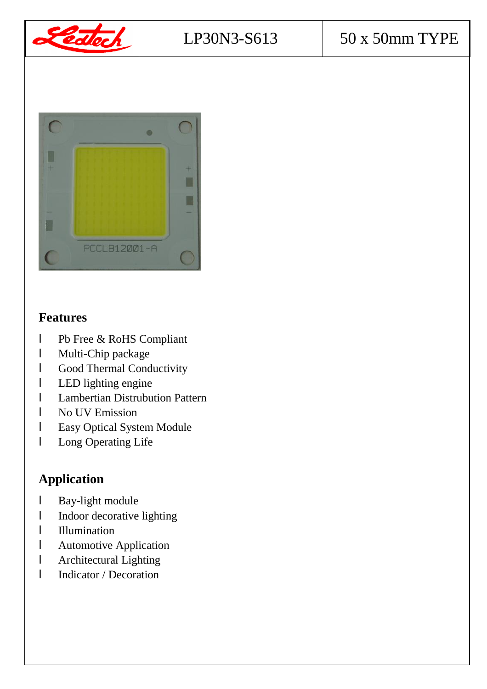



## **Features**

- l Pb Free & RoHS Compliant
- l Multi-Chip package
- l Good Thermal Conductivity
- l LED lighting engine
- l Lambertian Distrubution Pattern
- l No UV Emission
- l Easy Optical System Module
- l Long Operating Life

# **Application**

- l Bay-light module
- l Indoor decorative lighting
- l Illumination
- l Automotive Application
- l Architectural Lighting
- l Indicator / Decoration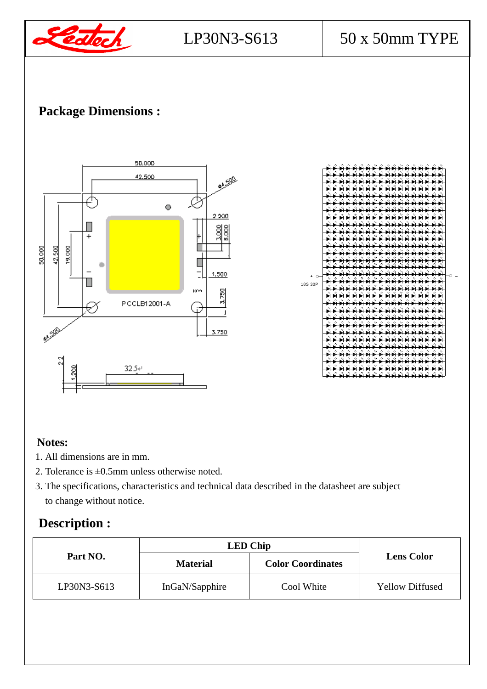

## **Package Dimensions :**



#### **Notes:**

- 1. All dimensions are in mm.
- 2. Tolerance is ±0.5mm unless otherwise noted.
- 3. The specifications, characteristics and technical data described in the datasheet are subject to change without notice.

## **Description :**

|             | <b>LED Chip</b> |                          |                        |
|-------------|-----------------|--------------------------|------------------------|
| Part NO.    | <b>Material</b> | <b>Color Coordinates</b> | <b>Lens Color</b>      |
| LP30N3-S613 | InGaN/Sapphire  | Cool White               | <b>Yellow Diffused</b> |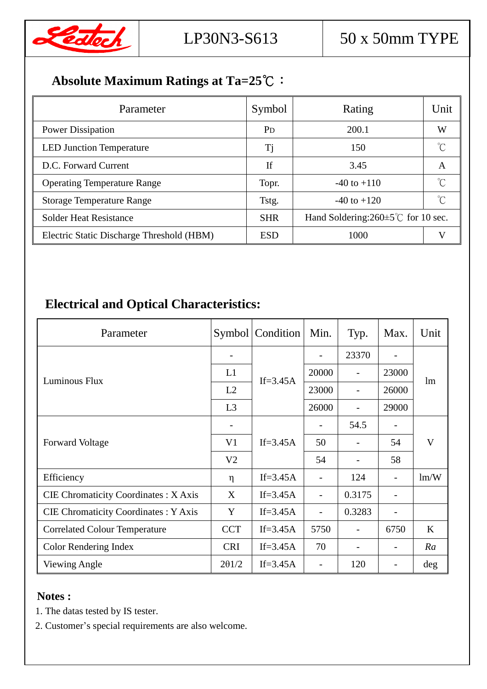

# **Absolute Maximum Ratings at Ta=25℃:**

| Parameter                                 | Symbol         | Rating                                          | Unit         |
|-------------------------------------------|----------------|-------------------------------------------------|--------------|
| <b>Power Dissipation</b>                  | P <sub>D</sub> | 200.1                                           | W            |
| <b>LED Junction Temperature</b>           | Tj             | 150                                             |              |
| D.C. Forward Current                      | If             | 3.45                                            | A            |
| <b>Operating Temperature Range</b>        | Topr.          | $-40$ to $+110$                                 |              |
| <b>Storage Temperature Range</b>          | Tstg.          | $-40$ to $+120$                                 | $^{\circ}$ C |
| <b>Solder Heat Resistance</b>             | <b>SHR</b>     | Hand Soldering: $260 \pm 5^{\circ}$ for 10 sec. |              |
| Electric Static Discharge Threshold (HBM) | <b>ESD</b>     | 1000                                            |              |

# **Electrical and Optical Characteristics:**

| Parameter                                   |                | Symbol   Condition | Min.           | Typ.                     | Max.                     | Unit    |
|---------------------------------------------|----------------|--------------------|----------------|--------------------------|--------------------------|---------|
|                                             |                |                    |                | 23370                    |                          | lm      |
| Luminous Flux                               | L1             | If= $3.45A$        | 20000          |                          | 23000                    |         |
|                                             | L2             |                    | 23000          |                          | 26000                    |         |
|                                             | L3             |                    | 26000          |                          | 29000                    |         |
|                                             |                |                    |                | 54.5                     |                          | V       |
| <b>Forward Voltage</b>                      | V <sub>1</sub> | If= $3.45A$        | 50             | $\overline{\phantom{a}}$ | 54                       |         |
|                                             | V <sub>2</sub> |                    | 54             |                          | 58                       |         |
| Efficiency                                  | $\eta$         | If= $3.45A$        |                | 124                      |                          | lm/W    |
| <b>CIE Chromaticity Coordinates: X Axis</b> | X              | If= $3.45A$        |                | 0.3175                   |                          |         |
| <b>CIE Chromaticity Coordinates: Y Axis</b> | Y              | If= $3.45A$        | $\overline{a}$ | 0.3283                   | $\overline{\phantom{0}}$ |         |
| <b>Correlated Colour Temperature</b>        | <b>CCT</b>     | If= $3.45A$        | 5750           |                          | 6750                     | $\bf K$ |
| Color Rendering Index                       | <b>CRI</b>     | If= $3.45A$        | 70             |                          |                          | Ra      |
| Viewing Angle                               | 201/2          | If= $3.45A$        |                | 120                      |                          | deg     |

#### **Notes :**

- 1. The datas tested by IS tester.
- 2. Customer's special requirements are also welcome.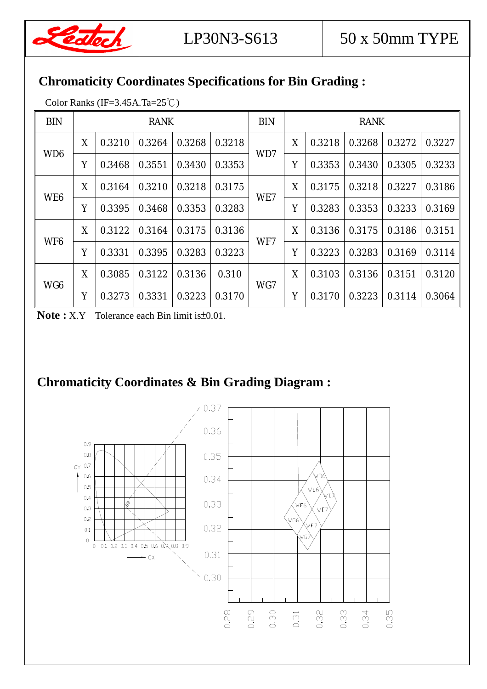

## **Chromaticity Coordinates Specifications for Bin Grading :**

Color Ranks (IF=3.45A.Ta=25℃)

| <b>BIN</b>      | <b>RANK</b> |        |        |        | <b>BIN</b> | <b>RANK</b> |   |        |        |        |        |
|-----------------|-------------|--------|--------|--------|------------|-------------|---|--------|--------|--------|--------|
| WD <sub>6</sub> | X           | 0.3210 | 0.3264 | 0.3268 | 0.3218     | WD7         | X | 0.3218 | 0.3268 | 0.3272 | 0.3227 |
|                 | Y           | 0.3468 | 0.3551 | 0.3430 | 0.3353     |             | Y | 0.3353 | 0.3430 | 0.3305 | 0.3233 |
| WE <sub>6</sub> | X           | 0.3164 | 0.3210 | 0.3218 | 0.3175     | WE7         | X | 0.3175 | 0.3218 | 0.3227 | 0.3186 |
|                 | Y           | 0.3395 | 0.3468 | 0.3353 | 0.3283     |             | Y | 0.3283 | 0.3353 | 0.3233 | 0.3169 |
| WF <sub>6</sub> | X           | 0.3122 | 0.3164 | 0.3175 | 0.3136     | WF7         | X | 0.3136 | 0.3175 | 0.3186 | 0.3151 |
|                 | Y           | 0.3331 | 0.3395 | 0.3283 | 0.3223     |             | Y | 0.3223 | 0.3283 | 0.3169 | 0.3114 |
| WG <sub>6</sub> | X           | 0.3085 | 0.3122 | 0.3136 | 0.310      | WG7         | X | 0.3103 | 0.3136 | 0.3151 | 0.3120 |
|                 | Y           | 0.3273 | 0.3331 | 0.3223 | 0.3170     |             | Y | 0.3170 | 0.3223 | 0.3114 | 0.3064 |

**Note :** X.Y Tolerance each Bin limit is±0.01.

# **Chromaticity Coordinates & Bin Grading Diagram :**

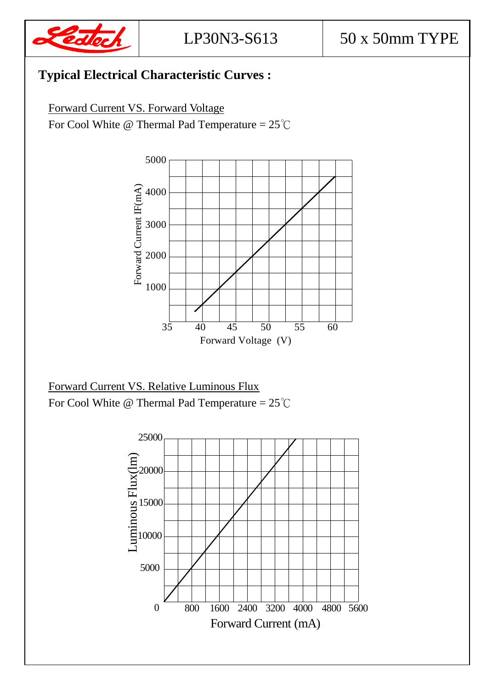

# **Typical Electrical Characteristic Curves :**

Forward Current VS. Forward Voltage

For Cool White @ Thermal Pad Temperature =  $25^{\circ}$ C



Forward Current VS. Relative Luminous Flux For Cool White @ Thermal Pad Temperature =  $25^{\circ}$ C

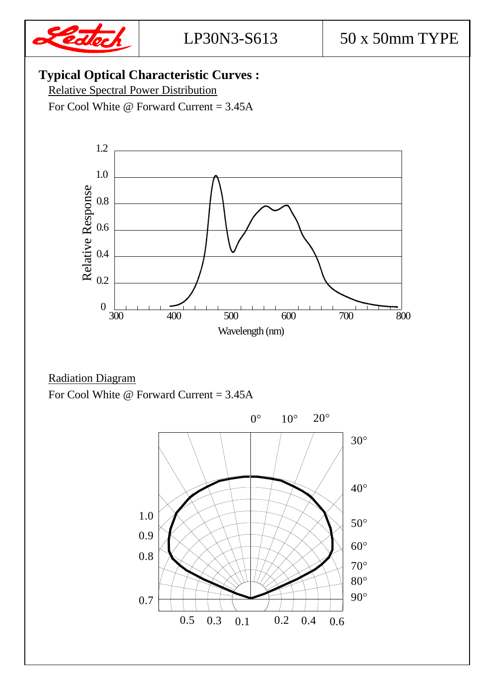

## **Typical Optical Characteristic Curves :**

Relative Spectral Power Distribution

For Cool White @ Forward Current = 3.45A



#### Radiation Diagram For Cool White  $\omega$  Forward Current = 3.45A

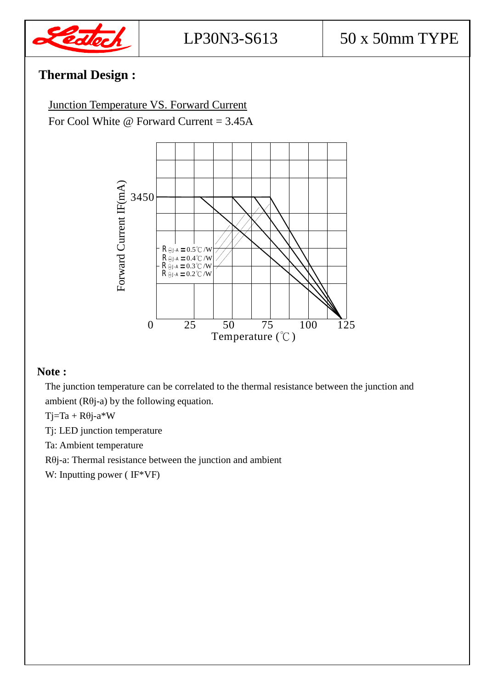

## **Thermal Design :**

Junction Temperature VS. Forward Current For Cool White  $\omega$  Forward Current = 3.45A



#### **Note :**

The junction temperature can be correlated to the thermal resistance between the junction and ambient  $(R\theta j-a)$  by the following equation.

 $Ti=Ta + R\theta i - a*W$ 

Tj: LED junction temperature

Ta: Ambient temperature

Rθj-a: Thermal resistance between the junction and ambient

W: Inputting power ( IF\*VF)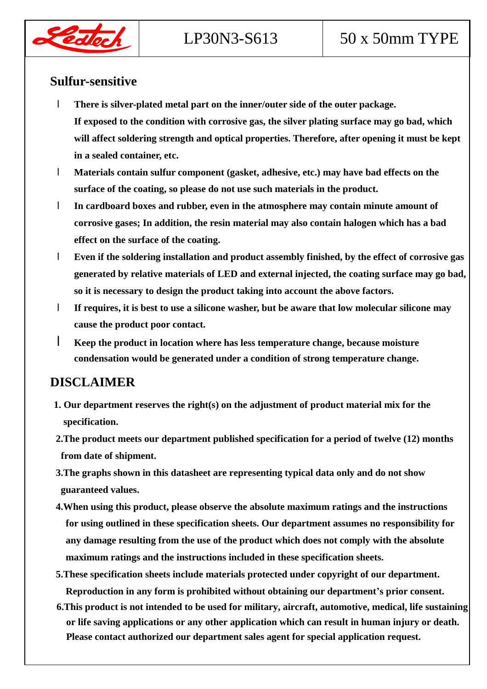

# LP30N3-S613  $\vert$  50 x 50mm TYPE

#### **Sulfur-sensitive**

- l **There is silver-plated metal part on the inner/outer side of the outer package. If exposed to the condition with corrosive gas, the silver plating surface may go bad, which will affect soldering strength and optical properties. Therefore, after opening it must be kept in a sealed container, etc.**
- l **Materials contain sulfur component (gasket, adhesive, etc.) may have bad effects on the surface of the coating, so please do not use such materials in the product.**
- l **In cardboard boxes and rubber, even in the atmosphere may contain minute amount of corrosive gases; In addition, the resin material may also contain halogen which has a bad effect on the surface of the coating.**
- l **Even if the soldering installation and product assembly finished, by the effect of corrosive gas generated by relative materials of LED and external injected, the coating surface may go bad, so it is necessary to design the product taking into account the above factors.**
- l **If requires, it is best to use a silicone washer, but be aware that low molecular silicone may cause the product poor contact.**
- l **Keep the product in location where has less temperature change, because moisture condensation would be generated under a condition of strong temperature change.**

#### **DISCLAIMER**

- **1. Our department reserves the right(s) on the adjustment of product material mix for the specification.**
- **2.The product meets our department published specification for a period of twelve (12) months from date of shipment.**
- **3.The graphs shown in this datasheet are representing typical data only and do not show guaranteed values.**
- **4.When using this product, please observe the absolute maximum ratings and the instructions for using outlined in these specification sheets. Our department assumes no responsibility for any damage resulting from the use of the product which does not comply with the absolute maximum ratings and the instructions included in these specification sheets.**
- **5.These specification sheets include materials protected under copyright of our department. Reproduction in any form is prohibited without obtaining our department's prior consent.**
- **6.This product is not intended to be used for military, aircraft, automotive, medical, life sustaining or life saving applications or any other application which can result in human injury or death. Please contact authorized our department sales agent for special application request.**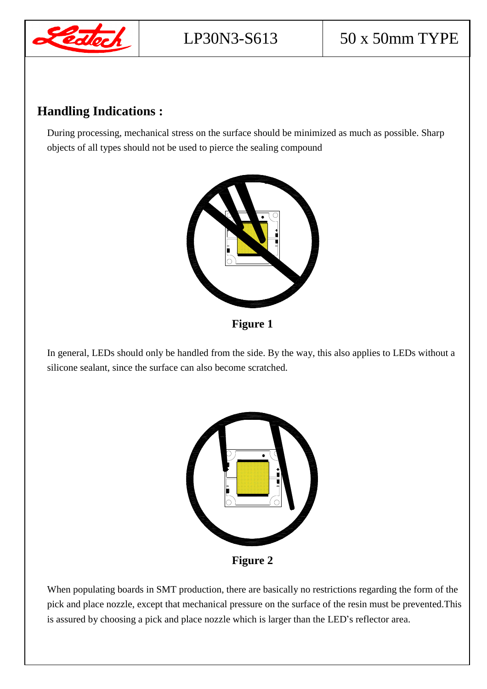

### **Handling Indications :**

During processing, mechanical stress on the surface should be minimized as much as possible. Sharp objects of all types should not be used to pierce the sealing compound



**Figure 1** 

In general, LEDs should only be handled from the side. By the way, this also applies to LEDs without a silicone sealant, since the surface can also become scratched.



When populating boards in SMT production, there are basically no restrictions regarding the form of the pick and place nozzle, except that mechanical pressure on the surface of the resin must be prevented.This is assured by choosing a pick and place nozzle which is larger than the LED's reflector area.